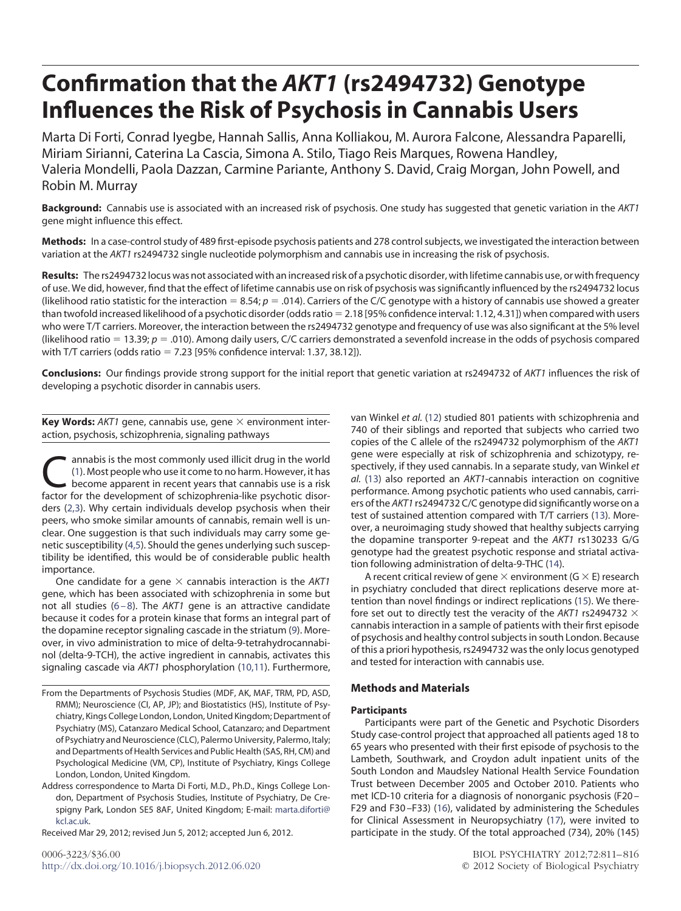# **Confirmation that the** *AKT1* **(rs2494732) Genotype Influences the Risk of Psychosis in Cannabis Users**

Marta Di Forti, Conrad Iyegbe, Hannah Sallis, Anna Kolliakou, M. Aurora Falcone, Alessandra Paparelli, Miriam Sirianni, Caterina La Cascia, Simona A. Stilo, Tiago Reis Marques, Rowena Handley, Valeria Mondelli, Paola Dazzan, Carmine Pariante, Anthony S. David, Craig Morgan, John Powell, and Robin M. Murray

**Background:** Cannabis use is associated with an increased risk of psychosis. One study has suggested that genetic variation in the *AKT1* gene might influence this effect.

**Methods:** In a case-control study of 489 first-episode psychosis patients and 278 control subjects, we investigated the interaction between variation at the *AKT1* rs2494732 single nucleotide polymorphism and cannabis use in increasing the risk of psychosis.

**Results:** The rs2494732 locus was not associated with an increased risk of a psychotic disorder, with lifetime cannabis use, or with frequency of use. We did, however, find that the effect of lifetime cannabis use on risk of psychosis was significantly influenced by the rs2494732 locus (likelihood ratio statistic for the interaction  $= 8.54$ ;  $p = .014$ ). Carriers of the C/C genotype with a history of cannabis use showed a greater than twofold increased likelihood of a psychotic disorder (odds ratio 2.18 [95% confidence interval: 1.12, 4.31]) when compared with users who were T/T carriers. Moreover, the interaction between the rs2494732 genotype and frequency of use was also significant at the 5% level (likelihood ratio  $= 13.39; p = .010$ ). Among daily users, C/C carriers demonstrated a sevenfold increase in the odds of psychosis compared with T/T carriers (odds ratio  $= 7.23$  [95% confidence interval: 1.37, 38.12]).

**Conclusions:** Our findings provide strong support for the initial report that genetic variation at rs2494732 of *AKT1* influences the risk of developing a psychotic disorder in cannabis users.

**Key Words:** AKT1 gene, cannabis use, gene  $\times$  environment interaction, psychosis, schizophrenia, signaling pathways

[an](#page-5-0)nabis is the most commonly used illicit drug in the world<br>
(1). Most people who use it come to no harm. However, it has<br>
become apparent in recent years that cannabis use is a risk<br>
factor for the development of schizoph (1). Most people who use it come to no harm. However, it has factor for the development of schizophrenia-like psychotic disorders [\(2,3\)](#page-5-1). Why certain individuals develop psychosis when their peers, who smoke similar amounts of cannabis, remain well is unclear. One suggestion is that such individuals may carry some genetic susceptibility [\(4,5\)](#page-5-2). Should the genes underlying such susceptibility be identified, this would be of considerable public health importance.

One candidate for a gene  $\times$  cannabis interaction is the  $AKT1$ gene, which has been associated with schizophrenia in some but not all studies [\(6–8\)](#page-5-3). The *AKT1* gene is an attractive candidate because it codes for a protein kinase that forms an integral part of the dopamine receptor signaling cascade in the striatum [\(9\)](#page-5-4). Moreover, in vivo administration to mice of delta-9-tetrahydrocannabinol (delta-9-TCH), the active ingredient in cannabis, activates this signaling cascade via *AKT1* phosphorylation [\(10,11\)](#page-5-5). Furthermore,

Received Mar 29, 2012; revised Jun 5, 2012; accepted Jun 6, 2012.

van Winkel *et al.* [\(12\)](#page-5-6) studied 801 patients with schizophrenia and 740 of their siblings and reported that subjects who carried two copies of the C allele of the rs2494732 polymorphism of the *AKT1* gene were especially at risk of schizophrenia and schizotypy, respectively, if they used cannabis. In a separate study, van Winkel *et al.* [\(13\)](#page-5-7) also reported an *AKT1*-cannabis interaction on cognitive performance. Among psychotic patients who used cannabis, carriers of the *AKT1* rs2494732 C/C genotype did significantly worse on a test of sustained attention compared with T/T carriers [\(13\)](#page-5-7). Moreover, a neuroimaging study showed that healthy subjects carrying the dopamine transporter 9-repeat and the *AKT1* rs130233 G/G genotype had the greatest psychotic response and striatal activation following administration of delta-9-THC [\(14\)](#page-5-8).

A recent critical review of gene  $\times$  environment (G  $\times$  E) research in psychiatry concluded that direct replications deserve more attention than novel findings or indirect replications [\(15\)](#page-5-9). We therefore set out to directly test the veracity of the AKT1 rs2494732  $\times$ cannabis interaction in a sample of patients with their first episode of psychosis and healthy control subjects in south London. Because of this a priori hypothesis, rs2494732 was the only locus genotyped and tested for interaction with cannabis use.

## **Methods and Materials**

## **Participants**

Participants were part of the Genetic and Psychotic Disorders Study case-control project that approached all patients aged 18 to 65 years who presented with their first episode of psychosis to the Lambeth, Southwark, and Croydon adult inpatient units of the South London and Maudsley National Health Service Foundation Trust between December 2005 and October 2010. Patients who met ICD-10 criteria for a diagnosis of nonorganic psychosis (F20 – F29 and F30 –F33) [\(16\)](#page-5-10), validated by administering the Schedules for Clinical Assessment in Neuropsychiatry [\(17\)](#page-5-11), were invited to participate in the study. Of the total approached (734), 20% (145)

From the Departments of Psychosis Studies (MDF, AK, MAF, TRM, PD, ASD, RMM); Neuroscience (CI, AP, JP); and Biostatistics (HS), Institute of Psychiatry, Kings College London, London, United Kingdom; Department of Psychiatry (MS), Catanzaro Medical School, Catanzaro; and Department of Psychiatry and Neuroscience (CLC), Palermo University, Palermo, Italy; and Departments of Health Services and Public Health (SAS, RH, CM) and Psychological Medicine (VM, CP), Institute of Psychiatry, Kings College London, London, United Kingdom.

Address correspondence to Marta Di Forti, M.D., Ph.D., Kings College London, Department of Psychosis Studies, Institute of Psychiatry, De Crespigny Park, London SE5 8AF, United Kingdom; E-mail: [marta.diforti@](mailto:marta.diforti@kcl.ac.uk) [kcl.ac.uk.](mailto:marta.diforti@kcl.ac.uk)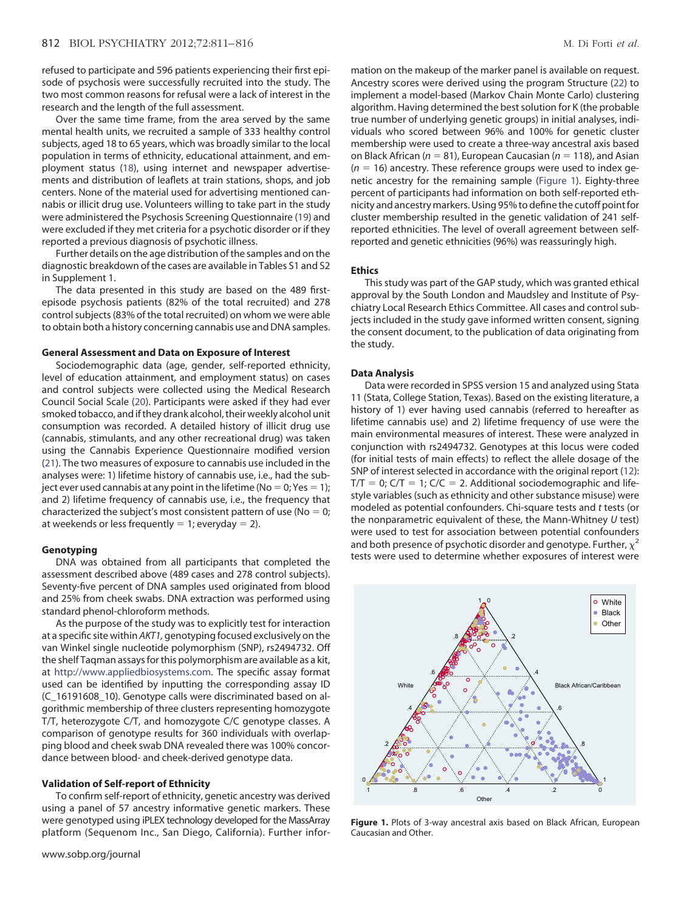refused to participate and 596 patients experiencing their first episode of psychosis were successfully recruited into the study. The two most common reasons for refusal were a lack of interest in the research and the length of the full assessment.

Over the same time frame, from the area served by the same mental health units, we recruited a sample of 333 healthy control subjects, aged 18 to 65 years, which was broadly similar to the local population in terms of ethnicity, educational attainment, and employment status [\(18\)](#page-5-12), using internet and newspaper advertisements and distribution of leaflets at train stations, shops, and job centers. None of the material used for advertising mentioned cannabis or illicit drug use. Volunteers willing to take part in the study were administered the Psychosis Screening Questionnaire [\(19\)](#page-5-13) and were excluded if they met criteria for a psychotic disorder or if they reported a previous diagnosis of psychotic illness.

Further details on the age distribution of the samples and on the diagnostic breakdown of the cases are available in Tables S1 and S2 in Supplement 1.

The data presented in this study are based on the 489 firstepisode psychosis patients (82% of the total recruited) and 278 control subjects (83% of the total recruited) on whom we were able to obtain both a history concerning cannabis use and DNA samples.

#### **General Assessment and Data on Exposure of Interest**

Sociodemographic data (age, gender, self-reported ethnicity, level of education attainment, and employment status) on cases and control subjects were collected using the Medical Research Council Social Scale [\(20\)](#page-5-14). Participants were asked if they had ever smoked tobacco, and if they drank alcohol, their weekly alcohol unit consumption was recorded. A detailed history of illicit drug use (cannabis, stimulants, and any other recreational drug) was taken using the Cannabis Experience Questionnaire modified version [\(21\)](#page-5-15). The two measures of exposure to cannabis use included in the analyses were: 1) lifetime history of cannabis use, i.e., had the subject ever used cannabis at any point in the lifetime (No  $=$  0; Yes  $=$  1); and 2) lifetime frequency of cannabis use, i.e., the frequency that characterized the subject's most consistent pattern of use ( $No = 0$ ; at weekends or less frequently  $= 1$ ; everyday  $= 2$ ).

#### **Genotyping**

DNA was obtained from all participants that completed the assessment described above (489 cases and 278 control subjects). Seventy-five percent of DNA samples used originated from blood and 25% from cheek swabs. DNA extraction was performed using standard phenol-chloroform methods.

As the purpose of the study was to explicitly test for interaction at a specific site within *AKT1,* genotyping focused exclusively on the van Winkel single nucleotide polymorphism (SNP), rs2494732. Off the shelf Taqman assays for this polymorphism are available as a kit, at [http://www.appliedbiosystems.com.](http://www.appliedbiosystems.com) The specific assay format used can be identified by inputting the corresponding assay ID (C\_16191608\_10). Genotype calls were discriminated based on algorithmic membership of three clusters representing homozygote T/T, heterozygote C/T, and homozygote C/C genotype classes. A comparison of genotype results for 360 individuals with overlapping blood and cheek swab DNA revealed there was 100% concordance between blood- and cheek-derived genotype data.

#### **Validation of Self-report of Ethnicity**

To confirm self-report of ethnicity, genetic ancestry was derived using a panel of 57 ancestry informative genetic markers. These were genotyped using iPLEX technology developed for the MassArray platform (Sequenom Inc., San Diego, California). Further infor-

mation on the makeup of the marker panel is available on request. Ancestry scores were derived using the program Structure [\(22\)](#page-5-16) to implement a model-based (Markov Chain Monte Carlo) clustering algorithm. Having determined the best solution for K (the probable true number of underlying genetic groups) in initial analyses, individuals who scored between 96% and 100% for genetic cluster membership were used to create a three-way ancestral axis based on Black African ( $n = 81$ ), European Caucasian ( $n = 118$ ), and Asian (*n* 16) ancestry*.* These reference groups were used to index genetic ancestry for the remaining sample [\(Figure 1\)](#page-1-0). Eighty-three percent of participants had information on both self-reported ethnicity and ancestry markers. Using 95% to define the cutoff point for cluster membership resulted in the genetic validation of 241 selfreported ethnicities. The level of overall agreement between selfreported and genetic ethnicities (96%) was reassuringly high.

#### **Ethics**

This study was part of the GAP study, which was granted ethical approval by the South London and Maudsley and Institute of Psychiatry Local Research Ethics Committee. All cases and control subjects included in the study gave informed written consent, signing the consent document, to the publication of data originating from the study.

#### **Data Analysis**

Data were recorded in SPSS version 15 and analyzed using Stata 11 (Stata, College Station, Texas). Based on the existing literature, a history of 1) ever having used cannabis (referred to hereafter as lifetime cannabis use) and 2) lifetime frequency of use were the main environmental measures of interest. These were analyzed in conjunction with rs2494732. Genotypes at this locus were coded (for initial tests of main effects) to reflect the allele dosage of the SNP of interest selected in accordance with the original report [\(12\)](#page-5-6):  $T/T = 0$ ;  $C/T = 1$ ;  $C/C = 2$ . Additional sociodemographic and lifestyle variables (such as ethnicity and other substance misuse) were modeled as potential confounders. Chi-square tests and *t* tests (or the nonparametric equivalent of these, the Mann-Whitney *U* test) were used to test for association between potential confounders and both presence of psychotic disorder and genotype. Further,  $\chi^2$ tests were used to determine whether exposures of interest were



<span id="page-1-0"></span>Figure 1. Plots of 3-way ancestral axis based on Black African, European Caucasian and Other.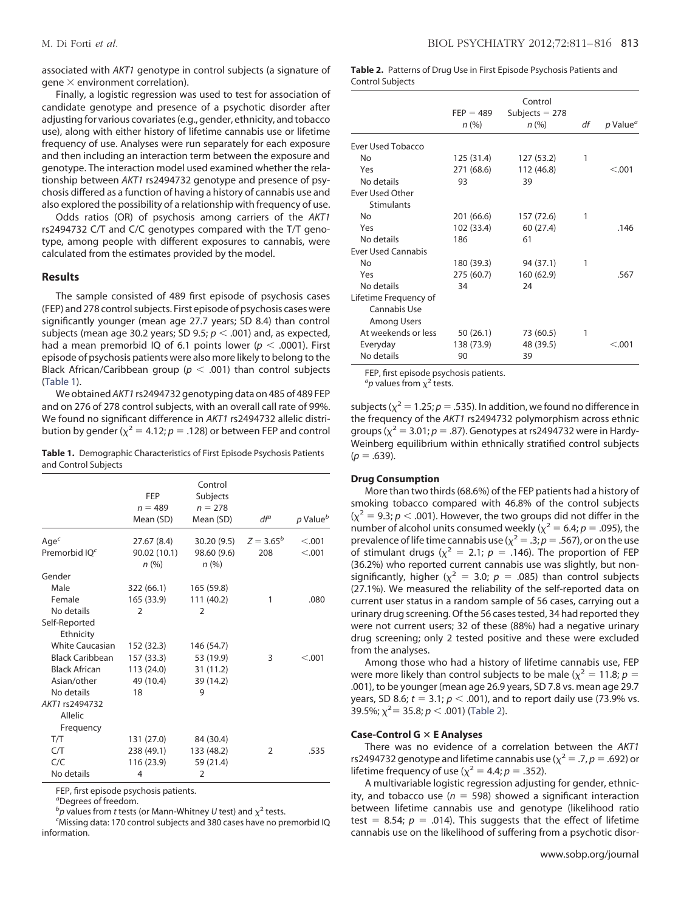associated with *AKT1* genotype in control subjects (a signature of gene  $\times$  environment correlation).

Finally, a logistic regression was used to test for association of candidate genotype and presence of a psychotic disorder after adjusting for various covariates (e.g., gender, ethnicity, and tobacco use), along with either history of lifetime cannabis use or lifetime frequency of use. Analyses were run separately for each exposure and then including an interaction term between the exposure and genotype. The interaction model used examined whether the relationship between *AKT1* rs2494732 genotype and presence of psychosis differed as a function of having a history of cannabis use and also explored the possibility of a relationship with frequency of use.

Odds ratios (OR) of psychosis among carriers of the *AKT1* rs2494732 C/T and C/C genotypes compared with the T/T genotype, among people with different exposures to cannabis, were calculated from the estimates provided by the model.

#### **Results**

The sample consisted of 489 first episode of psychosis cases (FEP) and 278 control subjects. First episode of psychosis cases were significantly younger (mean age 27.7 years; SD 8.4) than control subjects (mean age 30.2 years; SD 9.5;  $p < .001$ ) and, as expected, had a mean premorbid IQ of 6.1 points lower ( $p < .0001$ ). First episode of psychosis patients were also more likely to belong to the Black African/Caribbean group ( $p < .001$ ) than control subjects [\(Table 1\)](#page-2-0).

We obtained*AKT1* rs2494732 genotyping data on 485 of 489 FEP and on 276 of 278 control subjects, with an overall call rate of 99%. We found no significant difference in *AKT1* rs2494732 allelic distribution by gender ( $\chi^2 = 4.12$ ;  $p = .128$ ) or between FEP and control

<span id="page-2-0"></span>**Table 1.** Demographic Characteristics of First Episode Psychosis Patients and Control Subjects

|                                  | <b>FEP</b>             | Control<br>Subjects    |               |                      |
|----------------------------------|------------------------|------------------------|---------------|----------------------|
|                                  | $n = 489$<br>Mean (SD) | $n = 278$<br>Mean (SD) | $df^{a}$      | p Value <sup>b</sup> |
| Age $\epsilon$                   | 27.67 (8.4)            | 30.20 (9.5)            | $Z = 3.65^b$  | < .001               |
| Premorbid IO <sup>c</sup>        | 90.02 (10.1)<br>n(%)   | 98.60 (9.6)<br>n(%)    | 208           | < 0.001              |
| Gender                           |                        |                        |               |                      |
| Male                             | 322 (66.1)             | 165 (59.8)             |               |                      |
| Female                           | 165 (33.9)             | 111 (40.2)             | 1             | .080                 |
| No details                       | $\overline{2}$         | $\overline{2}$         |               |                      |
| Self-Reported<br>Ethnicity       |                        |                        |               |                      |
| <b>White Caucasian</b>           | 152 (32.3)             | 146 (54.7)             |               |                      |
| <b>Black Caribbean</b>           | 157 (33.3)             | 53 (19.9)              | 3             | < 0.01               |
| <b>Black African</b>             | 113 (24.0)             | 31 (11.2)              |               |                      |
| Asian/other                      | 49 (10.4)              | 39 (14.2)              |               |                      |
| No details                       | 18                     | 9                      |               |                      |
| AKT1 rs2494732<br><b>Allelic</b> |                        |                        |               |                      |
| Frequency                        |                        |                        |               |                      |
| T/T                              | 131 (27.0)             | 84 (30.4)              |               |                      |
| C/T                              | 238 (49.1)             | 133 (48.2)             | $\mathcal{P}$ | .535                 |
| C/C                              | 116 (23.9)             | 59 (21.4)              |               |                      |
| No details                       | 4                      | $\overline{2}$         |               |                      |

FEP, first episode psychosis patients.

*a* Degrees of freedom.

*b*<sub>p</sub> values from *t* tests (or Mann-Whitney *U* test) and  $\chi^2$  tests.<br>CMissing data: 170 control subjects and 380 cases have no pr

Missing data: 170 control subjects and 380 cases have no premorbid IQ information.

<span id="page-2-1"></span>**Table 2.** Patterns of Drug Use in First Episode Psychosis Patients and Control Subjects

|                           | $FEP = 489$ | Control<br>Subjects $= 278$ |    |                                     |
|---------------------------|-------------|-----------------------------|----|-------------------------------------|
|                           | n (%)       | $n (\%)$                    | df | $p$ Value <sup><math>a</math></sup> |
| <b>Ever Used Tobacco</b>  |             |                             |    |                                     |
| No                        | 125 (31.4)  | 127 (53.2)                  | 1  |                                     |
| Yes                       | 271 (68.6)  | 112 (46.8)                  |    | < 0.001                             |
| No details                | 93          | 39                          |    |                                     |
| <b>Ever Used Other</b>    |             |                             |    |                                     |
| <b>Stimulants</b>         |             |                             |    |                                     |
| No                        | 201 (66.6)  | 157 (72.6)                  | 1  |                                     |
| Yes                       | 102 (33.4)  | 60 (27.4)                   |    | .146                                |
| No details                | 186         | 61                          |    |                                     |
| <b>Ever Used Cannabis</b> |             |                             |    |                                     |
| <b>No</b>                 | 180 (39.3)  | 94 (37.1)                   | 1  |                                     |
| Yes                       | 275 (60.7)  | 160 (62.9)                  |    | .567                                |
| No details                | 34          | 24                          |    |                                     |
| Lifetime Frequency of     |             |                             |    |                                     |
| Cannabis Use              |             |                             |    |                                     |
| Among Users               |             |                             |    |                                     |
| At weekends or less       | 50 (26.1)   | 73 (60.5)                   | 1  |                                     |
| Everyday                  | 138 (73.9)  | 48 (39.5)                   |    | < 0.001                             |
| No details                | 90          | 39                          |    |                                     |

FEP, first episode psychosis patients.

 ${}^a$ *p* values from  $\chi^2$  tests.

subjects ( $\chi^2$  = 1.25; *p* = .535). In addition, we found no difference in the frequency of the *AKT1* rs2494732 polymorphism across ethnic groups ( $\chi^2$  = 3.01;  $p$  = .87). Genotypes at rs2494732 were in Hardy-Weinberg equilibrium within ethnically stratified control subjects  $(p = .639)$ .

#### **Drug Consumption**

More than two thirds (68.6%) of the FEP patients had a history of smoking tobacco compared with 46.8% of the control subjects  $(x^2 = 9.3; p < .001)$ . However, the two groups did not differ in the number of alcohol units consumed weekly ( $\chi^2$  = 6.4; *p* = .095), the prevalence of life time cannabis use ( $\chi^2 = .3; p = .567$ ), or on the use of stimulant drugs ( $\chi^2$  = 2.1; *p* = .146). The proportion of FEP (36.2%) who reported current cannabis use was slightly, but nonsignificantly, higher ( $\chi^2$  = 3.0;  $p$  = .085) than control subjects (27.1%). We measured the reliability of the self-reported data on current user status in a random sample of 56 cases, carrying out a urinary drug screening. Of the 56 cases tested, 34 had reported they were not current users; 32 of these (88%) had a negative urinary drug screening; only 2 tested positive and these were excluded from the analyses.

Among those who had a history of lifetime cannabis use, FEP were more likely than control subjects to be male ( $\chi^2 = 11.8$ ;  $p =$ .001), to be younger (mean age 26.9 years, SD 7.8 vs. mean age 29.7 years, SD 8.6;  $t = 3.1$ ;  $p < .001$ ), and to report daily use (73.9% vs. .<br>39.5%;  $\chi^2$ = 35.8; *p < .*001) [\(Table 2\)](#page-2-1).

### **Case-Control G E Analyses**

There was no evidence of a correlation between the *AKT1* rs2494732 genotype and lifetime cannabis use ( $\chi^2 = .7$ ,  $p = .692$ ) or lifetime frequency of use ( $\chi^2$  = 4.4; *p* = .352).

A multivariable logistic regression adjusting for gender, ethnicity, and tobacco use ( $n = 598$ ) showed a significant interaction between lifetime cannabis use and genotype (likelihood ratio test  $= 8.54$ ;  $p = .014$ ). This suggests that the effect of lifetime cannabis use on the likelihood of suffering from a psychotic disor-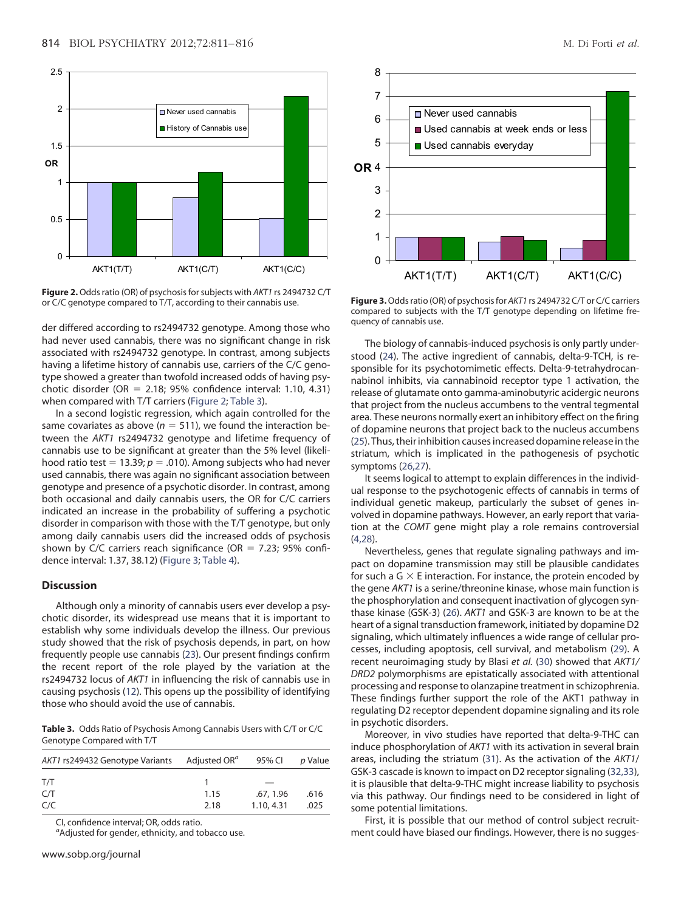

<span id="page-3-0"></span>**Figure 2.** Odds ratio (OR) of psychosis for subjects with *AKT1* rs 2494732 C/T or C/C genotype compared to T/T, according to their cannabis use.

der differed according to rs2494732 genotype. Among those who had never used cannabis, there was no significant change in risk associated with rs2494732 genotype. In contrast, among subjects having a lifetime history of cannabis use, carriers of the C/C genotype showed a greater than twofold increased odds of having psychotic disorder (OR  $=$  2.18; 95% confidence interval: 1.10, 4.31) when compared with T/T carriers [\(Figure 2;](#page-3-0) [Table 3\)](#page-3-1).

In a second logistic regression, which again controlled for the same covariates as above ( $n = 511$ ), we found the interaction between the *AKT1* rs2494732 genotype and lifetime frequency of cannabis use to be significant at greater than the 5% level (likelihood ratio test  $= 13.39; p = .010$ ). Among subjects who had never used cannabis, there was again no significant association between genotype and presence of a psychotic disorder. In contrast, among both occasional and daily cannabis users, the OR for C/C carriers indicated an increase in the probability of suffering a psychotic disorder in comparison with those with the T/T genotype, but only among daily cannabis users did the increased odds of psychosis shown by C/C carriers reach significance (OR  $=$  7.23; 95% confidence interval: 1.37, 38.12) [\(Figure 3;](#page-3-2) [Table 4\)](#page-4-0).

#### **Discussion**

Although only a minority of cannabis users ever develop a psychotic disorder, its widespread use means that it is important to establish why some individuals develop the illness. Our previous study showed that the risk of psychosis depends, in part, on how frequently people use cannabis [\(23\)](#page-5-17). Our present findings confirm the recent report of the role played by the variation at the rs2494732 locus of *AKT1* in influencing the risk of cannabis use in causing psychosis [\(12\)](#page-5-6). This opens up the possibility of identifying those who should avoid the use of cannabis.

<span id="page-3-1"></span>**Table 3.** Odds Ratio of Psychosis Among Cannabis Users with C/T or C/C Genotype Compared with T/T

| AKT1 rs249432 Genotype Variants | Adjusted OR" | 95% CI     | p Value |  |
|---------------------------------|--------------|------------|---------|--|
| T/T                             |              |            |         |  |
| C/T                             | 1.15         | .67, 1.96  | .616    |  |
| C/C                             | 2.18         | 1.10, 4.31 | .025    |  |

CI, confidence interval; OR, odds ratio.

*a* Adjusted for gender, ethnicity, and tobacco use.



<span id="page-3-2"></span>**Figure 3.**Odds ratio (OR) of psychosis for *AKT1* rs 2494732 C/T or C/C carriers compared to subjects with the T/T genotype depending on lifetime frequency of cannabis use.

The biology of cannabis-induced psychosis is only partly understood [\(24\)](#page-5-18). The active ingredient of cannabis, delta-9-TCH, is responsible for its psychotomimetic effects. Delta-9-tetrahydrocannabinol inhibits, via cannabinoid receptor type 1 activation, the release of glutamate onto gamma-aminobutyric acidergic neurons that project from the nucleus accumbens to the ventral tegmental area. These neurons normally exert an inhibitory effect on the firing of dopamine neurons that project back to the nucleus accumbens [\(25\)](#page-5-19). Thus, their inhibition causes increased dopamine release in the striatum, which is implicated in the pathogenesis of psychotic symptoms [\(26,27\)](#page-5-20).

It seems logical to attempt to explain differences in the individual response to the psychotogenic effects of cannabis in terms of individual genetic makeup, particularly the subset of genes involved in dopamine pathways. However, an early report that variation at the *COMT* gene might play a role remains controversial [\(4,28\)](#page-5-2).

Nevertheless, genes that regulate signaling pathways and impact on dopamine transmission may still be plausible candidates for such a G  $\times$  E interaction. For instance, the protein encoded by the gene *AKT1* is a serine/threonine kinase, whose main function is the phosphorylation and consequent inactivation of glycogen synthase kinase (GSK-3) [\(26\)](#page-5-20). *AKT1* and GSK-3 are known to be at the heart of a signal transduction framework, initiated by dopamine D2 signaling, which ultimately influences a wide range of cellular processes, including apoptosis, cell survival, and metabolism [\(29\)](#page-5-21). A recent neuroimaging study by Blasi *et al.* [\(30\)](#page-5-22) showed that *AKT1/ DRD2* polymorphisms are epistatically associated with attentional processing and response to olanzapine treatment in schizophrenia. These findings further support the role of the AKT1 pathway in regulating D2 receptor dependent dopamine signaling and its role in psychotic disorders.

Moreover, in vivo studies have reported that delta-9-THC can induce phosphorylation of *AKT1* with its activation in several brain areas, including the striatum [\(31\)](#page-5-23). As the activation of the *AKT1*/ GSK-3 cascade is known to impact on D2 receptor signaling [\(32,33\)](#page-5-24), it is plausible that delta-9-THC might increase liability to psychosis via this pathway. Our findings need to be considered in light of some potential limitations.

First, it is possible that our method of control subject recruitment could have biased our findings. However, there is no sugges-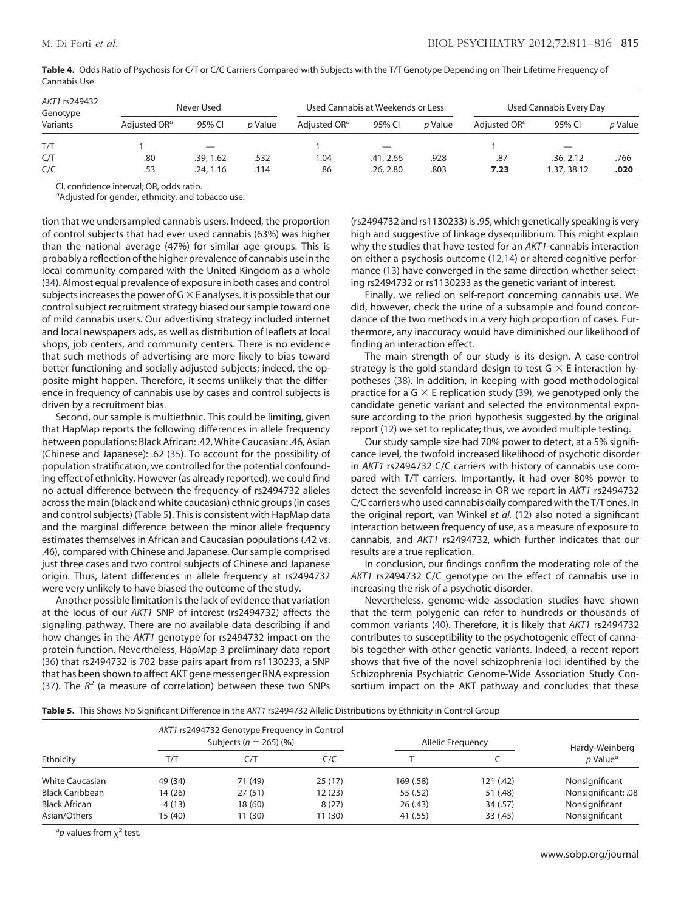| AKT1 rs249432<br>Genotype | Never Used               |          |         | Used Cannabis at Weekends or Less |           |         | Used Cannabis Every Day  |             |                |
|---------------------------|--------------------------|----------|---------|-----------------------------------|-----------|---------|--------------------------|-------------|----------------|
| Variants                  | Adjusted OR <sup>a</sup> | 95% CI   | p Value | Adjusted OR <sup>a</sup>          | 95% CI    | p Value | Adjusted OR <sup>a</sup> | 95% CI      | <i>p</i> Value |
| T/T                       |                          |          |         |                                   |           |         |                          |             |                |
| C/T                       | .80                      | .39.162  | .532    | .04                               | .41, 2.66 | .928    | .87                      | .36.2.12    | .766           |
| C/C                       | .53                      | .24.1.16 | .114    | .86                               | .26.2.80  | .803    | 7.23                     | 1.37, 38.12 | .020           |

<span id="page-4-0"></span>Table 4. Odds Ratio of Psychosis for C/T or C/C Carriers Compared with Subjects with the T/T Genotype Depending on Their Lifetime Frequency of Cannabis Use

CI, confidence interval; OR, odds ratio.

*a* Adjusted for gender, ethnicity, and tobacco use.

tion that we undersampled cannabis users. Indeed, the proportion of control subjects that had ever used cannabis (63%) was higher than the national average (47%) for similar age groups. This is probably a reflection of the higher prevalence of cannabis use in the local community compared with the United Kingdom as a whole [\(34\)](#page-5-25). Almost equal prevalence of exposure in both cases and control subjects increases the power of G  $\times$  E analyses. It is possible that our control subject recruitment strategy biased our sample toward one of mild cannabis users. Our advertising strategy included internet and local newspapers ads, as well as distribution of leaflets at local shops, job centers, and community centers. There is no evidence that such methods of advertising are more likely to bias toward better functioning and socially adjusted subjects; indeed, the opposite might happen. Therefore, it seems unlikely that the difference in frequency of cannabis use by cases and control subjects is driven by a recruitment bias.

Second, our sample is multiethnic. This could be limiting, given that HapMap reports the following differences in allele frequency between populations: Black African: .42, White Caucasian: .46, Asian (Chinese and Japanese): .62 [\(35\)](#page-5-26). To account for the possibility of population stratification, we controlled for the potential confounding effect of ethnicity. However (as already reported), we could find no actual difference between the frequency of rs2494732 alleles across the main (black and white caucasian) ethnic groups (in cases and control subjects) [\(Table 5](#page-4-1)**)**. This is consistent with HapMap data and the marginal difference between the minor allele frequency estimates themselves in African and Caucasian populations (.42 vs. .46), compared with Chinese and Japanese. Our sample comprised just three cases and two control subjects of Chinese and Japanese origin. Thus, latent differences in allele frequency at rs2494732 were very unlikely to have biased the outcome of the study.

Another possible limitation is the lack of evidence that variation at the locus of our *AKT1* SNP of interest (rs2494732) affects the signaling pathway. There are no available data describing if and how changes in the *AKT1* genotype for rs2494732 impact on the protein function. Nevertheless, HapMap 3 preliminary data report [\(36\)](#page-5-27) that rs2494732 is 702 base pairs apart from rs1130233, a SNP that has been shown to affect AKT gene messenger RNA expression [\(37\)](#page-5-28). The  $R^2$  (a measure of correlation) between these two SNPs (rs2494732 and rs1130233) is .95, which genetically speaking is very high and suggestive of linkage dysequilibrium. This might explain why the studies that have tested for an *AKT1*-cannabis interaction on either a psychosis outcome [\(12,14\)](#page-5-6) or altered cognitive performance [\(13\)](#page-5-7) have converged in the same direction whether selecting rs2494732 or rs1130233 as the genetic variant of interest.

Finally, we relied on self-report concerning cannabis use. We did, however, check the urine of a subsample and found concordance of the two methods in a very high proportion of cases. Furthermore, any inaccuracy would have diminished our likelihood of finding an interaction effect.

The main strength of our study is its design. A case-control strategy is the gold standard design to test G  $\times$  E interaction hypotheses [\(38\)](#page-5-29). In addition, in keeping with good methodological practice for a G  $\times$  E replication study [\(39\)](#page-5-30), we genotyped only the candidate genetic variant and selected the environmental exposure according to the priori hypothesis suggested by the original report [\(12\)](#page-5-6) we set to replicate; thus, we avoided multiple testing.

Our study sample size had 70% power to detect, at a 5% significance level, the twofold increased likelihood of psychotic disorder in *AKT1* rs2494732 C/C carriers with history of cannabis use compared with T/T carriers. Importantly, it had over 80% power to detect the sevenfold increase in OR we report in *AKT1* rs2494732 C/C carriers who used cannabis daily compared with the T/T ones. In the original report, van Winkel *et al.* [\(12\)](#page-5-6) also noted a significant interaction between frequency of use, as a measure of exposure to cannabis, and *AKT1* rs2494732, which further indicates that our results are a true replication.

In conclusion, our findings confirm the moderating role of the *AKT1* rs2494732 C/C genotype on the effect of cannabis use in increasing the risk of a psychotic disorder.

Nevertheless, genome-wide association studies have shown that the term polygenic can refer to hundreds or thousands of common variants [\(40\)](#page-5-31). Therefore, it is likely that *AKT1* rs2494732 contributes to susceptibility to the psychotogenic effect of cannabis together with other genetic variants. Indeed, a recent report shows that five of the novel schizophrenia loci identified by the Schizophrenia Psychiatric Genome-Wide Association Study Consortium impact on the AKT pathway and concludes that these

<span id="page-4-1"></span>**Table 5.** This Shows No Significant Difference in the *AKT1* rs2494732 Allelic Distributions by Ethnicity in Control Group

| Ethnicity              | AKT1 rs2494732 Genotype Frequency in Control<br>Subjects ( $n = 265$ ) (%) |         |         | Allelic Frequency | Hardy-Weinberg |                                     |
|------------------------|----------------------------------------------------------------------------|---------|---------|-------------------|----------------|-------------------------------------|
|                        | T/T                                                                        | C/T     | C/C     |                   |                | $p$ Value <sup><math>a</math></sup> |
| <b>White Caucasian</b> | 49 (34)                                                                    | 71 (49) | 25(17)  | 169 (.58)         | 121 (.42)      | Nonsignificant                      |
| <b>Black Caribbean</b> | 14 (26)                                                                    | 27(51)  | 12 (23) | 55 (.52)          | 51 (.48)       | Nonsignificant: .08                 |
| <b>Black African</b>   | 4(13)                                                                      | 18(60)  | 8(27)   | 26(.43)           | 34 (.57)       | Nonsignificant                      |
| Asian/Others           | 15 (40)                                                                    | 11(30)  | 11 (30) | 41 (.55)          | 33 (.45)       | Nonsignificant                      |

 ${}^a p$  values from  $\chi^2$  test.